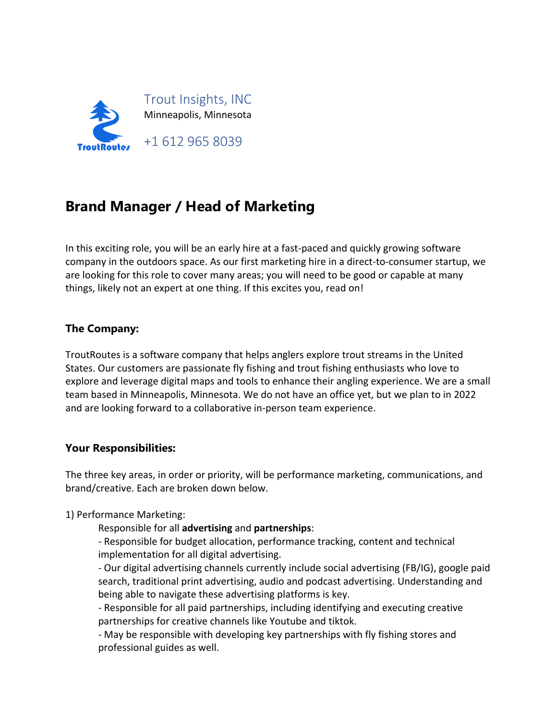

# **Brand Manager / Head of Marketing**

In this exciting role, you will be an early hire at a fast-paced and quickly growing software company in the outdoors space. As our first marketing hire in a direct-to-consumer startup, we are looking for this role to cover many areas; you will need to be good or capable at many things, likely not an expert at one thing. If this excites you, read on!

#### **The Company:**

TroutRoutes is a software company that helps anglers explore trout streams in the United States. Our customers are passionate fly fishing and trout fishing enthusiasts who love to explore and leverage digital maps and tools to enhance their angling experience. We are a small team based in Minneapolis, Minnesota. We do not have an office yet, but we plan to in 2022 and are looking forward to a collaborative in-person team experience.

#### **Your Responsibilities:**

The three key areas, in order or priority, will be performance marketing, communications, and brand/creative. Each are broken down below.

#### 1) Performance Marketing:

Responsible for all **advertising** and **partnerships**:

- Responsible for budget allocation, performance tracking, content and technical implementation for all digital advertising.

- Our digital advertising channels currently include social advertising (FB/IG), google paid search, traditional print advertising, audio and podcast advertising. Understanding and being able to navigate these advertising platforms is key.

- Responsible for all paid partnerships, including identifying and executing creative partnerships for creative channels like Youtube and tiktok.

- May be responsible with developing key partnerships with fly fishing stores and professional guides as well.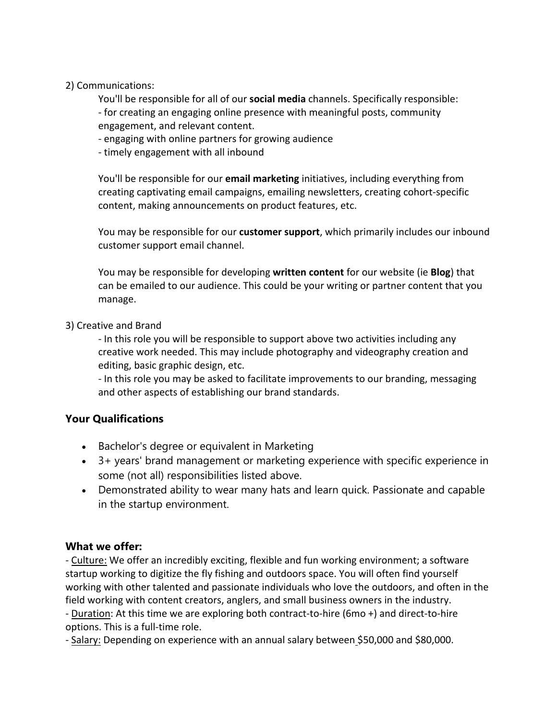### 2) Communications:

You'll be responsible for all of our **social media** channels. Specifically responsible:

- for creating an engaging online presence with meaningful posts, community engagement, and relevant content.

## - engaging with online partners for growing audience

- timely engagement with all inbound

You'll be responsible for our **email marketing** initiatives, including everything from creating captivating email campaigns, emailing newsletters, creating cohort-specific content, making announcements on product features, etc.

You may be responsible for our **customer support**, which primarily includes our inbound customer support email channel.

You may be responsible for developing **written content** for our website (ie **Blog**) that can be emailed to our audience. This could be your writing or partner content that you manage.

## 3) Creative and Brand

- In this role you will be responsible to support above two activities including any creative work needed. This may include photography and videography creation and editing, basic graphic design, etc.

- In this role you may be asked to facilitate improvements to our branding, messaging and other aspects of establishing our brand standards.

# **Your Qualifications**

- Bachelor's degree or equivalent in Marketing
- 3+ years' brand management or marketing experience with specific experience in some (not all) responsibilities listed above.
- Demonstrated ability to wear many hats and learn quick. Passionate and capable in the startup environment.

# **What we offer:**

- Culture: We offer an incredibly exciting, flexible and fun working environment; a software startup working to digitize the fly fishing and outdoors space. You will often find yourself working with other talented and passionate individuals who love the outdoors, and often in the field working with content creators, anglers, and small business owners in the industry. - Duration: At this time we are exploring both contract-to-hire (6mo +) and direct-to-hire options. This is a full-time role.

- Salary: Depending on experience with an annual salary between \$50,000 and \$80,000.